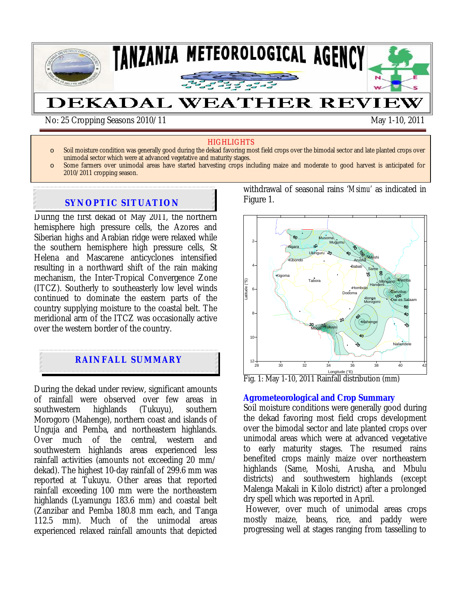

#### HIGHLIGHTS

- o Soil moisture condition was generally good during the dekad favoring most field crops over the bimodal sector and late planted crops over unimodal sector which were at advanced vegetative and maturity stages.
- o Some farmers over unimodal areas have started harvesting crops including maize and moderate to good harvest is anticipated for 2010/2011 cropping season.

## **SYNOPTIC SITUATION**

During the first dekad of May 2011, the northern hemisphere high pressure cells, the Azores and Siberian highs and Arabian ridge were relaxed while the southern hemisphere high pressure cells, St Helena and Mascarene anticyclones intensified resulting in a northward shift of the rain making mechanism, the Inter-Tropical Convergence Zone (ITCZ). Southerly to southeasterly low level winds continued to dominate the eastern parts of the country supplying moisture to the coastal belt. The meridional arm of the ITCZ was occasionally active over the western border of the country.

# **RAINFALL SUMMARY**

During the dekad under review, significant amounts of rainfall were observed over few areas in<br>southwestern highlands (Tukuyu), southern southwestern highlands (Tukuyu), southern Morogoro (Mahenge), northern coast and islands of Unguja and Pemba, and northeastern highlands. Over much of the central, western and southwestern highlands areas experienced less rainfall activities (amounts not exceeding 20 mm/ dekad). The highest 10-day rainfall of 299.6 mm was reported at Tukuyu. Other areas that reported rainfall exceeding 100 mm were the northeastern highlands (Lyamungu 183.6 mm) and coastal belt (Zanzibar and Pemba 180.8 mm each, and Tanga 112.5 mm). Much of the unimodal areas experienced relaxed rainfall amounts that depicted withdrawal of seasonal rains '*Msimu'* as indicated in Figure 1.



Fig. 1: May 1-10, 2011 Rainfall distribution (mm)

#### **Agrometeorological and Crop Summary**

Soil moisture conditions were generally good during the dekad favoring most field crops development over the bimodal sector and late planted crops over unimodal areas which were at advanced vegetative to early maturity stages. The resumed rains benefited crops mainly maize over northeastern highlands (Same, Moshi, Arusha, and Mbulu districts) and southwestern highlands (except Malenga Makali in Kilolo district) after a prolonged dry spell which was reported in April.

 However, over much of unimodal areas crops mostly maize, beans, rice, and paddy were progressing well at stages ranging from tasselling to